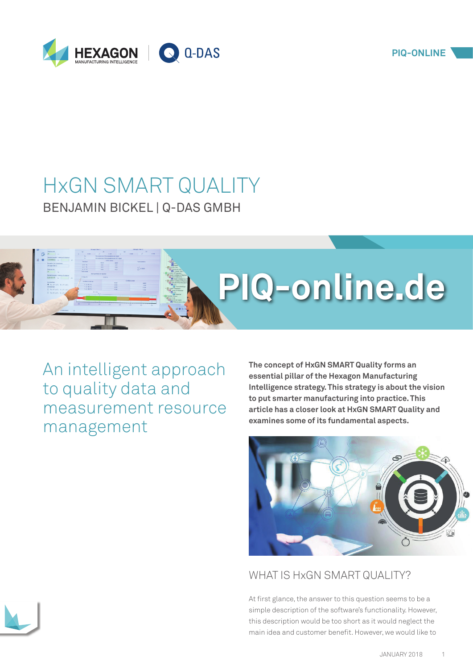

# HxGN SMART QUALITY BENJAMIN BICKEL | Q-DAS GMBH



An intelligent approach to quality data and measurement resource management

**The concept of HxGN SMART Quality forms an essential pillar of the Hexagon Manufacturing Intelligence strategy. This strategy is about the vision to put smarter manufacturing into practice. This article has a closer look at HxGN SMART Quality and examines some of its fundamental aspects.**



# WHAT IS HxGN SMART QUALITY?

At first glance, the answer to this question seems to be a simple description of the software's functionality. However, this description would be too short as it would neglect the main idea and customer benefit. However, we would like to

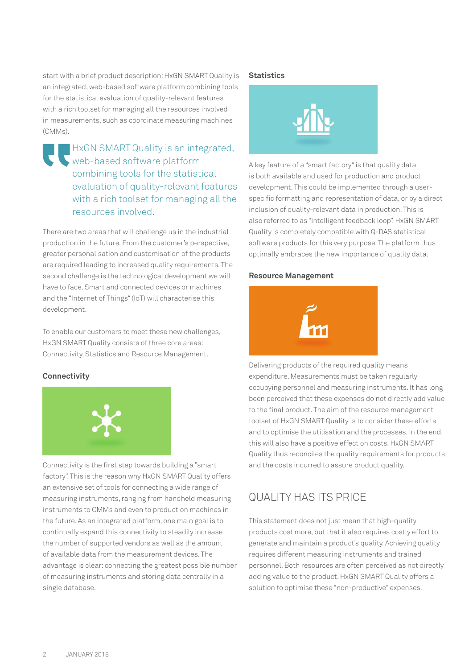start with a brief product description: HxGN SMART Quality is an integrated, web-based software platform combining tools for the statistical evaluation of quality-relevant features with a rich toolset for managing all the resources involved in measurements, such as coordinate measuring machines (CMMs).

HxGN SMART Quality is an integrated, web-based software platform combining tools for the statistical evaluation of quality-relevant features with a rich toolset for managing all the resources involved.

There are two areas that will challenge us in the industrial production in the future. From the customer's perspective, greater personalisation and customisation of the products are required leading to increased quality requirements. The second challenge is the technological development we will have to face. Smart and connected devices or machines and the "Internet of Things" (IoT) will characterise this development.

To enable our customers to meet these new challenges, HxGN SMART Quality consists of three core areas: Connectivity, Statistics and Resource Management.

#### **Connectivity**



Connectivity is the first step towards building a "smart factory". This is the reason why HxGN SMART Quality offers an extensive set of tools for connecting a wide range of measuring instruments, ranging from handheld measuring instruments to CMMs and even to production machines in the future. As an integrated platform, one main goal is to continually expand this connectivity to steadily increase the number of supported vendors as well as the amount of available data from the measurement devices. The advantage is clear: connecting the greatest possible number of measuring instruments and storing data centrally in a single database.

#### **Statistics**



A key feature of a "smart factory" is that quality data is both available and used for production and product development. This could be implemented through a userspecific formatting and representation of data, or by a direct inclusion of quality-relevant data in production. This is also referred to as "intelligent feedback loop". HxGN SMART Quality is completely compatible with Q-DAS statistical software products for this very purpose. The platform thus optimally embraces the new importance of quality data.

#### **Resource Management**



Delivering products of the required quality means expenditure. Measurements must be taken regularly occupying personnel and measuring instruments. It has long been perceived that these expenses do not directly add value to the final product. The aim of the resource management toolset of HxGN SMART Quality is to consider these efforts and to optimise the utilisation and the processes. In the end, this will also have a positive effect on costs. HxGN SMART Quality thus reconciles the quality requirements for products and the costs incurred to assure product quality.

## QUALITY HAS ITS PRICE

This statement does not just mean that high-quality products cost more, but that it also requires costly effort to generate and maintain a product's quality. Achieving quality requires different measuring instruments and trained personnel. Both resources are often perceived as not directly adding value to the product. HxGN SMART Quality offers a solution to optimise these "non-productive" expenses.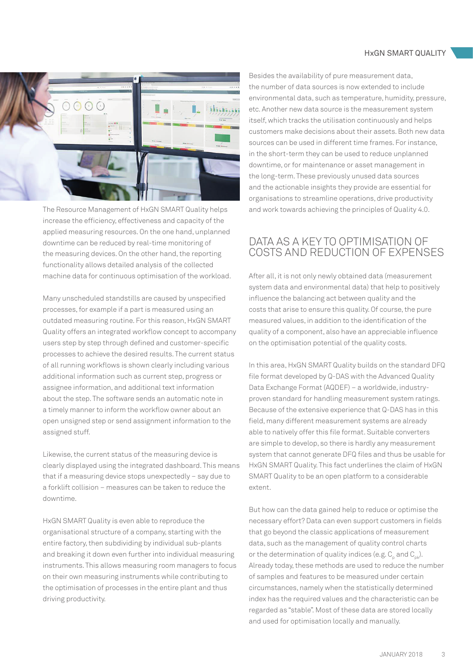#### HxGN SMART QUALITY



The Resource Management of HxGN SMART Quality helps increase the efficiency, effectiveness and capacity of the applied measuring resources. On the one hand, unplanned downtime can be reduced by real-time monitoring of the measuring devices. On the other hand, the reporting functionality allows detailed analysis of the collected machine data for continuous optimisation of the workload.

Many unscheduled standstills are caused by unspecified processes, for example if a part is measured using an outdated measuring routine. For this reason, HxGN SMART Quality offers an integrated workflow concept to accompany users step by step through defined and customer-specific processes to achieve the desired results. The current status of all running workflows is shown clearly including various additional information such as current step, progress or assignee information, and additional text information about the step. The software sends an automatic note in a timely manner to inform the workflow owner about an open unsigned step or send assignment information to the assigned stuff.

Likewise, the current status of the measuring device is clearly displayed using the integrated dashboard. This means that if a measuring device stops unexpectedly – say due to a forklift collision – measures can be taken to reduce the downtime.

HxGN SMART Quality is even able to reproduce the organisational structure of a company, starting with the entire factory, then subdividing by individual sub-plants and breaking it down even further into individual measuring instruments. This allows measuring room managers to focus on their own measuring instruments while contributing to the optimisation of processes in the entire plant and thus driving productivity.

Besides the availability of pure measurement data, the number of data sources is now extended to include environmental data, such as temperature, humidity, pressure, etc. Another new data source is the measurement system itself, which tracks the utilisation continuously and helps customers make decisions about their assets. Both new data sources can be used in different time frames. For instance, in the short-term they can be used to reduce unplanned downtime, or for maintenance or asset management in the long-term. These previously unused data sources and the actionable insights they provide are essential for organisations to streamline operations, drive productivity and work towards achieving the principles of Quality 4.0.

### DATA AS A KEY TO OPTIMISATION OF COSTS AND REDUCTION OF EXPENSES

After all, it is not only newly obtained data (measurement system data and environmental data) that help to positively influence the balancing act between quality and the costs that arise to ensure this quality. Of course, the pure measured values, in addition to the identification of the quality of a component, also have an appreciable influence on the optimisation potential of the quality costs.

In this area, HxGN SMART Quality builds on the standard DFQ file format developed by Q-DAS with the Advanced Quality Data Exchange Format (AQDEF) – a worldwide, industryproven standard for handling measurement system ratings. Because of the extensive experience that Q-DAS has in this field, many different measurement systems are already able to natively offer this file format. Suitable converters are simple to develop, so there is hardly any measurement system that cannot generate DFQ files and thus be usable for HxGN SMART Quality. This fact underlines the claim of HxGN SMART Quality to be an open platform to a considerable extent.

But how can the data gained help to reduce or optimise the necessary effort? Data can even support customers in fields that go beyond the classic applications of measurement data, such as the management of quality control charts or the determination of quality indices (e.g.  $C_{p}$  and  $C_{p}$ ). Already today, these methods are used to reduce the number of samples and features to be measured under certain circumstances, namely when the statistically determined index has the required values and the characteristic can be regarded as "stable". Most of these data are stored locally and used for optimisation locally and manually.